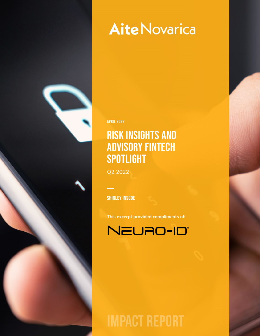# **Aite Novarica**

APRIL 2022

# Risk Insights and Advisory Fintech **SPOTLIGHT**

Q2 2022

**SHIRLEY INSCOE** 

**This excerpt provided compliments of:**



**IMPACT REPORT**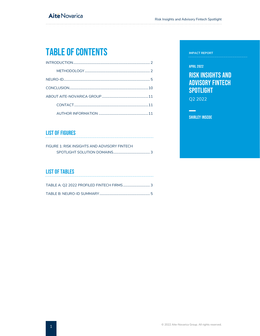# Table of Contents

### List of Figures

| FIGURE 1: RISK INSIGHTS AND ADVISORY FINTECH |  |
|----------------------------------------------|--|
|                                              |  |

## List of Tables

#### **IMPACT REPORT**

#### APRIL 2022

# Risk Insights and Advisory Fintech **SPOTLIGHT**

Q2 2022

 $\sim$ 

Shirley Inscoe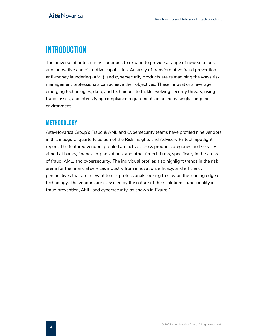# <span id="page-2-0"></span>**INTRODUCTION**

The universe of fintech firms continues to expand to provide a range of new solutions and innovative and disruptive capabilities. An array of transformative fraud prevention, anti-money laundering (AML), and cybersecurity products are reimagining the ways risk management professionals can achieve their objectives. These innovations leverage emerging technologies, data, and techniques to tackle evolving security threats, rising fraud losses, and intensifying compliance requirements in an increasingly complex environment.

# <span id="page-2-1"></span>METHODOLOGY

Aite-Novarica Group's Fraud & AML and Cybersecurity teams have profiled nine vendors in this inaugural quarterly edition of the Risk Insights and Advisory Fintech Spotlight report. The featured vendors profiled are active across product categories and services aimed at banks, financial organizations, and other fintech firms, specifically in the areas of fraud, AML, and cybersecurity. The individual profiles also highlight trends in the risk arena for the financial services industry from innovation, efficacy, and efficiency perspectives that are relevant to risk professionals looking to stay on the leading edge of technology. The vendors are classified by the nature of their solutions' functionality in fraud prevention, AML, and cybersecurity, as shown in Figure 1.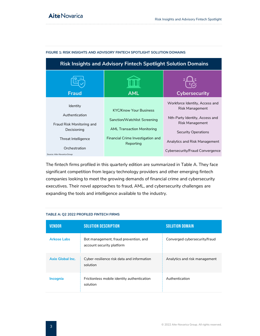| <b>AML</b>                                                                                                                                           | <b>Cybersecurity</b>                                                                                                                                                                                     |
|------------------------------------------------------------------------------------------------------------------------------------------------------|----------------------------------------------------------------------------------------------------------------------------------------------------------------------------------------------------------|
|                                                                                                                                                      |                                                                                                                                                                                                          |
| <b>KYC/Know Your Business</b><br>Sanction/Watchlist Screening<br><b>AML Transaction Monitoring</b><br>Financial Crime Investigation and<br>Reporting | Workforce Identity, Access and<br>Risk Management<br>Nth-Party Identity, Access and<br>Risk Management<br><b>Security Operations</b><br>Analytics and Risk Management<br>Cybersecurity/Fraud Convergence |
|                                                                                                                                                      |                                                                                                                                                                                                          |

#### <span id="page-3-0"></span>**FIGURE 1: RISK INSIGHTS AND ADVISORY FINTECH SPOTLIGHT SOLUTION DOMAINS**

The fintech firms profiled in this quarterly edition are summarized in Table A. They face significant competition from legacy technology providers and other emerging fintech companies looking to meet the growing demands of financial crime and cybersecurity executives. Their novel approaches to fraud, AML, and cybersecurity challenges are expanding the tools and intelligence available to the industry.

| <b>VENDOR</b>      | <b>SOLUTION DESCRIPTION</b>                                        | <b>SOLUTION DOMAIN</b>        |
|--------------------|--------------------------------------------------------------------|-------------------------------|
| <b>Arkose Labs</b> | Bot management, fraud prevention, and<br>account security platform | Converged cybersecurity/fraud |
| Axio Global Inc.   | Cyber-resilience risk data and information<br>solution             | Analytics and risk management |
| <b>Incognia</b>    | Frictionless mobile identity authentication<br>solution            | Authentication                |

#### <span id="page-3-1"></span>**TABLE A: Q2 2022 PROFILED FINTECH FIRMS**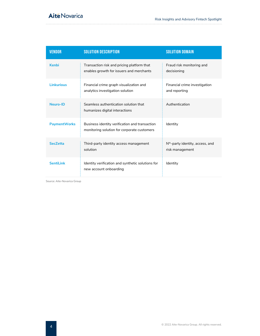| <b>VENDOR</b>       | <b>SOLUTION DESCRIPTION</b>                                                                   | <b>SOLUTION DOMAIN</b>                                |
|---------------------|-----------------------------------------------------------------------------------------------|-------------------------------------------------------|
| Kenbi               | Transaction risk and pricing platform that<br>enables growth for issuers and merchants        | Fraud risk monitoring and<br>decisioning              |
| <b>Linkurious</b>   | Financial crime graph visualization and<br>analytics investigation solution                   | Financial crime investigation<br>and reporting        |
| Neuro-ID            | Seamless authentication solution that<br>humanizes digital interactions                       | Authentication                                        |
| <b>PaymentWorks</b> | Business identity verification and transaction<br>monitoring solution for corporate customers | Identity                                              |
| <b>SecZetta</b>     | Third-party identity access management<br>solution                                            | $Nth$ -party identity, access, and<br>risk management |
| <b>SentiLink</b>    | Identity verification and synthetic solutions for<br>new account onboarding                   | Identity                                              |

Source: Aite-Novarica Group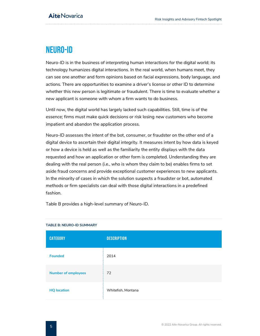# <span id="page-5-0"></span>NEURO-ID

Neuro-ID is in the business of interpreting human interactions for the digital world; its technology humanizes digital interactions. In the real world, when humans meet, they can see one another and form opinions based on facial expressions, body language, and actions. There are opportunities to examine a driver's license or other ID to determine whether this new person is legitimate or fraudulent. There is time to evaluate whether a new applicant is someone with whom a firm wants to do business.

Until now, the digital world has largely lacked such capabilities. Still, time is of the essence; firms must make quick decisions or risk losing new customers who become impatient and abandon the application process.

Neuro-ID assesses the intent of the bot, consumer, or fraudster on the other end of a digital device to ascertain their digital integrity. It measures intent by how data is keyed or how a device is held as well as the familiarity the entity displays with the data requested and how an application or other form is completed. Understanding they are dealing with the real person (i.e., who is whom they claim to be) enables firms to set aside fraud concerns and provide exceptional customer experiences to new applicants. In the minority of cases in which the solution suspects a fraudster or bot, automated methods or firm specialists can deal with those digital interactions in a predefined fashion.

<span id="page-5-1"></span>Table B provides a high-level summary of Neuro-ID.

| <b>CATEGORY</b>            | <b>DESCRIPTION</b> |
|----------------------------|--------------------|
| <b>Founded</b>             | 2014               |
| <b>Number of employees</b> | 72                 |
| <b>HQ</b> location         | Whitefish, Montana |

#### **TABLE B: NEURO-ID SUMMARY**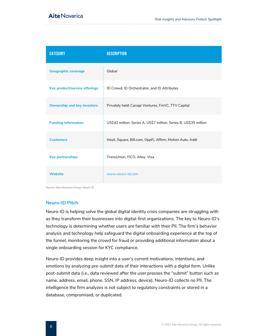# **Aité Novarica**

| <b>CATEGORY</b>                    | <b>DESCRIPTION</b>                                                |
|------------------------------------|-------------------------------------------------------------------|
| <b>Geographic coverage</b>         | Global                                                            |
| Key product/service offerings      | ID Crowd, ID Orchestrator, and ID Attributes                      |
| <b>Ownership and key investors</b> | Privately held: Canapi Ventures, FinVC, TTV Capital               |
| <b>Funding information</b>         | US\$42 million: Series A, US\$7 million; Series B, US\$35 million |
| <b>Customers</b>                   | Intuit, Square, Bill.com, OppFi, Affirm, Motion Auto, Addi        |
| <b>Key partnerships</b>            | TransUnion, FICO, Alloy, Visa                                     |
| <b>Website</b>                     | www.neuro-id.com                                                  |

Source: Aite-Novarica Group, Neuro-ID

### **Neuro-ID Pitch**

Neuro-ID is helping solve the global digital identity crisis companies are struggling with as they transform their businesses into digital-first organizations. The key to Neuro-ID's technology is determining whether users are familiar with their PII. The firm's behavior analysis and technology help safeguard the digital onboarding experience at the top of the funnel, monitoring the crowd for fraud or providing additional information about a single onboarding session for KYC compliance.

Neuro-ID provides deep insight into a user's current motivations, intentions, and emotions by analyzing pre-submit data of their interactions with a digital form. Unlike post-submit data (i.e., data reviewed after the user presses the "submit" button such as name, address, email, phone, SSN, IP address, device), Neuro-ID collects no PII. The intelligence the firm analyzes is not subject to regulatory constraints or stored in a database, compromised, or duplicated.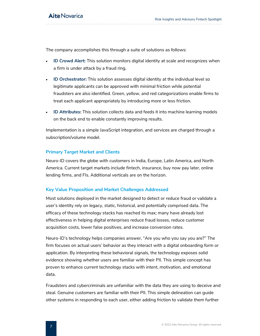The company accomplishes this through a suite of solutions as follows:

- **ID Crowd Alert:** This solution monitors digital identity at scale and recognizes when a firm is under attack by a fraud ring.
- **ID Orchestrator:** This solution assesses digital identity at the individual level so legitimate applicants can be approved with minimal friction while potential fraudsters are also identified. Green, yellow, and red categorizations enable firms to treat each applicant appropriately by introducing more or less friction.
- **ID Attributes:** This solution collects data and feeds it into machine learning models on the back end to enable constantly improving results.

Implementation is a simple JavaScript integration, and services are charged through a subscription/volume model.

### **Primary Target Market and Clients**

Neuro-ID covers the globe with customers in India, Europe, Latin America, and North America. Current target markets include fintech, insurance, buy now pay later, online lending firms, and FIs. Additional verticals are on the horizon.

### **Key Value Proposition and Market Challenges Addressed**

Most solutions deployed in the market designed to detect or reduce fraud or validate a user's identity rely on legacy, static, historical, and potentially comprised data. The efficacy of these technology stacks has reached its max; many have already lost effectiveness in helping digital enterprises reduce fraud losses, reduce customer acquisition costs, lower false positives, and increase conversion rates.

Neuro-ID's technology helps companies answer, "Are you who you say you are?" The firm focuses on actual users' behavior as they interact with a digital onboarding form or application. By interpreting these behavioral signals, the technology exposes solid evidence showing whether users are familiar with their PII. This simple concept has proven to enhance current technology stacks with intent, motivation, and emotional data.

Fraudsters and cybercriminals are unfamiliar with the data they are using to deceive and steal. Genuine customers are familiar with their PII. This simple delineation can guide other systems in responding to each user, either adding friction to validate them further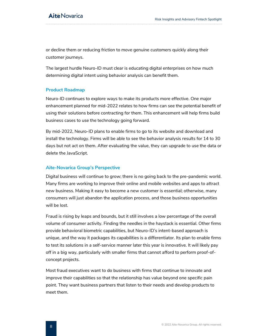or decline them or reducing friction to move genuine customers quickly along their customer journeys.

The largest hurdle Neuro-ID must clear is educating digital enterprises on how much determining digital intent using behavior analysis can benefit them.

### **Product Roadmap**

Neuro-ID continues to explore ways to make its products more effective. One major enhancement planned for mid-2022 relates to how firms can see the potential benefit of using their solutions before contracting for them. This enhancement will help firms build business cases to use the technology going forward.

By mid-2022, Neuro-ID plans to enable firms to go to its website and download and install the technology. Firms will be able to see the behavior analysis results for 14 to 30 days but not act on them. After evaluating the value, they can upgrade to use the data or delete the JavaScript.

### **Aite-Novarica Group's Perspective**

Digital business will continue to grow; there is no going back to the pre-pandemic world. Many firms are working to improve their online and mobile websites and apps to attract new business. Making it easy to become a new customer is essential; otherwise, many consumers will just abandon the application process, and those business opportunities will be lost.

Fraud is rising by leaps and bounds, but it still involves a low percentage of the overall volume of consumer activity. Finding the needles in the haystack is essential. Other firms provide behavioral biometric capabilities, but Neuro-ID's intent-based approach is unique, and the way it packages its capabilities is a differentiator. Its plan to enable firms to test its solutions in a self-service manner later this year is innovative. It will likely pay off in a big way, particularly with smaller firms that cannot afford to perform proof-ofconcept projects.

Most fraud executives want to do business with firms that continue to innovate and improve their capabilities so that the relationship has value beyond one specific pain point. They want business partners that listen to their needs and develop products to meet them.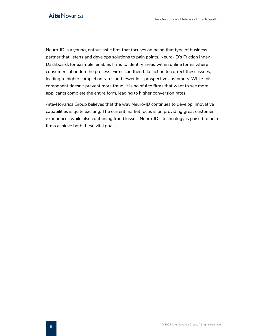Neuro-ID is a young, enthusiastic firm that focuses on being that type of business partner that listens and develops solutions to pain points. Neuro-ID's Friction Index Dashboard, for example, enables firms to identify areas within online forms where consumers abandon the process. Firms can then take action to correct these issues, leading to higher completion rates and fewer lost prospective customers. While this component doesn't prevent more fraud, it is helpful to firms that want to see more applicants complete the entire form, leading to higher conversion rates.

Aite-Novarica Group believes that the way Neuro-ID continues to develop innovative capabilities is quite exciting. The current market focus is on providing great customer experiences while also containing fraud losses; Neuro-ID's technology is poised to help firms achieve both these vital goals.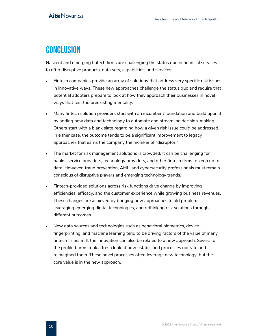# <span id="page-10-0"></span>**CONCLUSION**

Nascent and emerging fintech firms are challenging the status quo in financial services to offer disruptive products, data sets, capabilities, and services:

- Fintech companies provide an array of solutions that address very specific risk issues in innovative ways. These new approaches challenge the status quo and require that potential adopters prepare to look at how they approach their businesses in novel ways that test the preexisting mentality.
- Many fintech solution providers start with an incumbent foundation and build upon it by adding new data and technology to automate and streamline decision-making. Others start with a blank slate regarding how a given risk issue could be addressed. In either case, the outcome tends to be a significant improvement to legacy approaches that earns the company the moniker of "disruptor."
- The market for risk management solutions is crowded. It can be challenging for banks, service providers, technology providers, and other fintech firms to keep up to date. However, fraud prevention, AML, and cybersecurity professionals must remain conscious of disruptive players and emerging technology trends.
- Fintech-provided solutions across risk functions drive change by improving efficiencies, efficacy, and the customer experience while growing business revenues. These changes are achieved by bringing new approaches to old problems, leveraging emerging digital technologies, and rethinking risk solutions through different outcomes.
- New data sources and technologies such as behavioral biometrics, device fingerprinting, and machine learning tend to be driving factors of the value of many fintech firms. Still, the innovation can also be related to a new approach. Several of the profiled firms took a fresh look at how established processes operate and reimagined them. These novel processes often leverage new technology, but the core value is in the new approach.